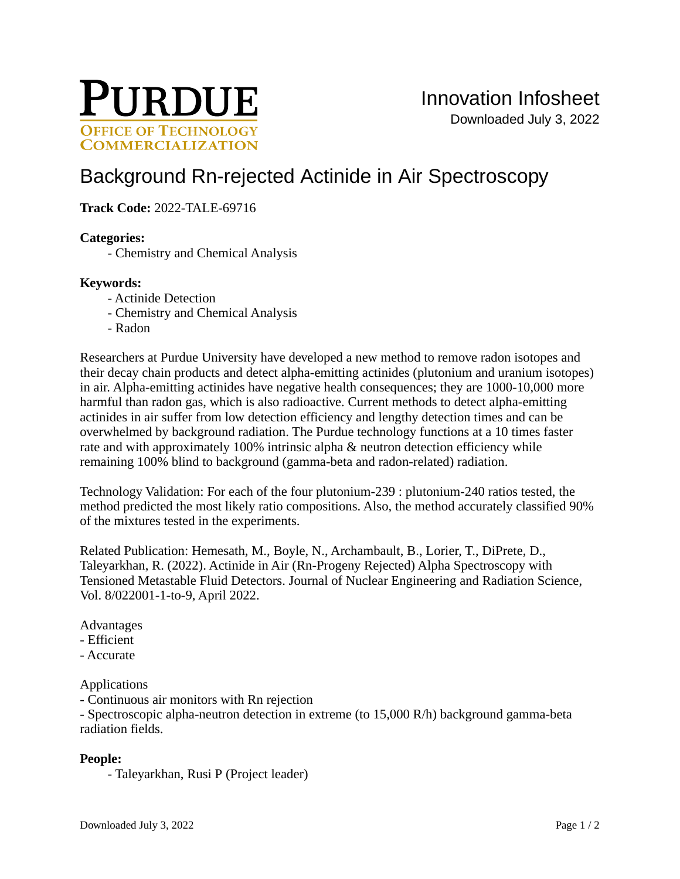

# [Background Rn-rejected Actinide in Air Spectroscopy](https://inventions.prf.org/innovation/8329)

## **Track Code:** 2022-TALE-69716

#### **Categories:**

- Chemistry and Chemical Analysis

#### **Keywords:**

- Actinide Detection
- Chemistry and Chemical Analysis
- Radon

Researchers at Purdue University have developed a new method to remove radon isotopes and their decay chain products and detect alpha-emitting actinides (plutonium and uranium isotopes) in air. Alpha-emitting actinides have negative health consequences; they are 1000-10,000 more harmful than radon gas, which is also radioactive. Current methods to detect alpha-emitting actinides in air suffer from low detection efficiency and lengthy detection times and can be overwhelmed by background radiation. The Purdue technology functions at a 10 times faster rate and with approximately 100% intrinsic alpha & neutron detection efficiency while remaining 100% blind to background (gamma-beta and radon-related) radiation.

Technology Validation: For each of the four plutonium-239 : plutonium-240 ratios tested, the method predicted the most likely ratio compositions. Also, the method accurately classified 90% of the mixtures tested in the experiments.

Related Publication: Hemesath, M., Boyle, N., Archambault, B., Lorier, T., DiPrete, D., Taleyarkhan, R. (2022). Actinide in Air (Rn-Progeny Rejected) Alpha Spectroscopy with Tensioned Metastable Fluid Detectors. Journal of Nuclear Engineering and Radiation Science, Vol. 8/022001-1-to-9, April 2022.

#### Advantages

- Efficient
- Accurate

#### Applications

- Continuous air monitors with Rn rejection

- Spectroscopic alpha-neutron detection in extreme (to 15,000 R/h) background gamma-beta radiation fields.

## **People:**

- Taleyarkhan, Rusi P (Project leader)